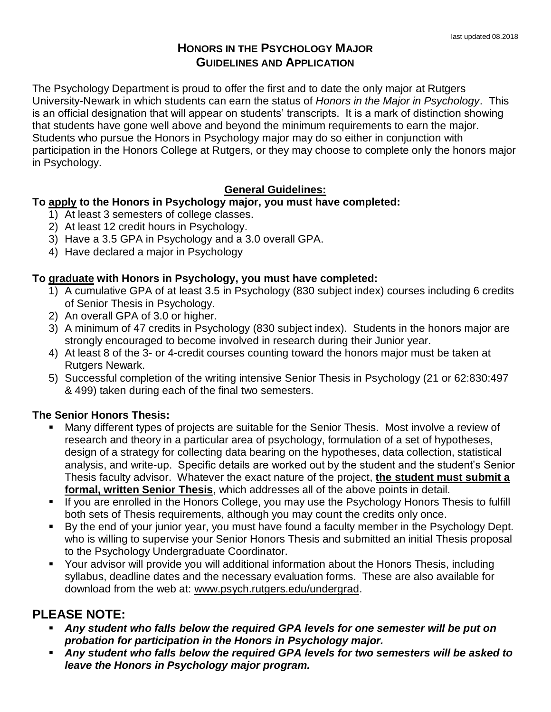# **HONORS IN THE PSYCHOLOGY MAJOR GUIDELINES AND APPLICATION**

The Psychology Department is proud to offer the first and to date the only major at Rutgers University-Newark in which students can earn the status of *Honors in the Major in Psychology*. This is an official designation that will appear on students' transcripts. It is a mark of distinction showing that students have gone well above and beyond the minimum requirements to earn the major. Students who pursue the Honors in Psychology major may do so either in conjunction with participation in the Honors College at Rutgers, or they may choose to complete only the honors major in Psychology.

## **General Guidelines:**

## **To apply to the Honors in Psychology major, you must have completed:**

- 1) At least 3 semesters of college classes.
- 2) At least 12 credit hours in Psychology.
- 3) Have a 3.5 GPA in Psychology and a 3.0 overall GPA.
- 4) Have declared a major in Psychology

#### **To graduate with Honors in Psychology, you must have completed:**

- 1) A cumulative GPA of at least 3.5 in Psychology (830 subject index) courses including 6 credits of Senior Thesis in Psychology.
- 2) An overall GPA of 3.0 or higher.
- 3) A minimum of 47 credits in Psychology (830 subject index). Students in the honors major are strongly encouraged to become involved in research during their Junior year.
- 4) At least 8 of the 3- or 4-credit courses counting toward the honors major must be taken at Rutgers Newark.
- 5) Successful completion of the writing intensive Senior Thesis in Psychology (21 or 62:830:497 & 499) taken during each of the final two semesters.

## **The Senior Honors Thesis:**

- Many different types of projects are suitable for the Senior Thesis. Most involve a review of research and theory in a particular area of psychology, formulation of a set of hypotheses, design of a strategy for collecting data bearing on the hypotheses, data collection, statistical analysis, and write-up. Specific details are worked out by the student and the student's Senior Thesis faculty advisor. Whatever the exact nature of the project, **the student must submit a formal, written Senior Thesis**, which addresses all of the above points in detail.
- If you are enrolled in the Honors College, you may use the Psychology Honors Thesis to fulfill both sets of Thesis requirements, although you may count the credits only once.
- By the end of your junior year, you must have found a faculty member in the Psychology Dept. who is willing to supervise your Senior Honors Thesis and submitted an initial Thesis proposal to the Psychology Undergraduate Coordinator.
- Your advisor will provide you will additional information about the Honors Thesis, including syllabus, deadline dates and the necessary evaluation forms. These are also available for download from the web at: www.psych.rutgers.edu/undergrad.

# **PLEASE NOTE:**

- Any student who falls below the required GPA levels for one semester will be put on *probation for participation in the Honors in Psychology major.*
- *Any student who falls below the required GPA levels for two semesters will be asked to leave the Honors in Psychology major program.*